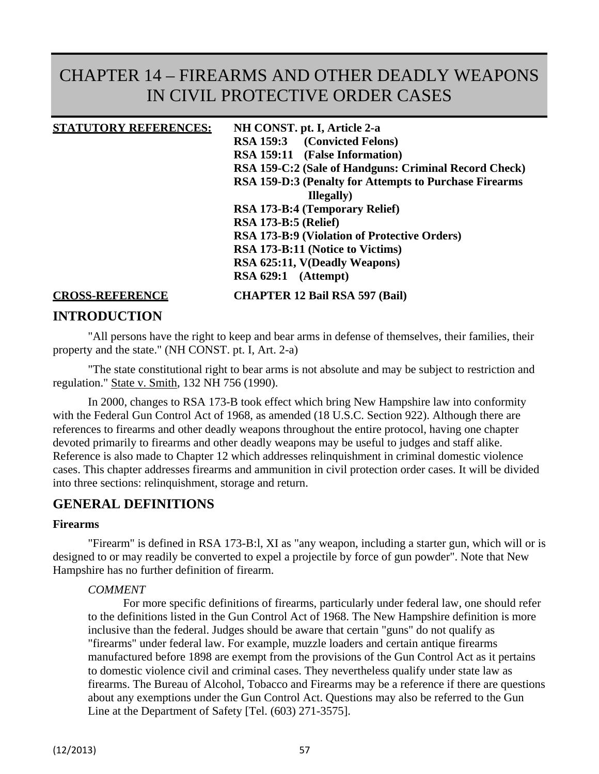# CHAPTER 14 – FIREARMS AND OTHER DEADLY WEAPONS IN CIVIL PROTECTIVE ORDER CASES

#### **STATUTORY REFERENCES: NH CONST. pt. I, Article 2-a**

**RSA 159:3 (Convicted Felons) RSA 159:11 (False Information) RSA 159-C:2 (Sale of Handguns: Criminal Record Check) RSA 159-D:3 (Penalty for Attempts to Purchase Firearms Illegally) RSA 173-B:4 (Temporary Relief) RSA 173-B:5 (Relief) RSA 173-B:9 (Violation of Protective Orders) RSA 173-B:11 (Notice to Victims) RSA 625:11, V(Deadly Weapons) RSA 629:1 (Attempt)**

**CROSS-REFERENCE CHAPTER 12 Bail RSA 597 (Bail)**

### **INTRODUCTION**

"All persons have the right to keep and bear arms in defense of themselves, their families, their property and the state." (NH CONST. pt. I, Art. 2-a)

"The state constitutional right to bear arms is not absolute and may be subject to restriction and regulation." State v. Smith, 132 NH 756 (1990).

In 2000, changes to RSA 173-B took effect which bring New Hampshire law into conformity with the Federal Gun Control Act of 1968, as amended (18 U.S.C. Section 922). Although there are references to firearms and other deadly weapons throughout the entire protocol, having one chapter devoted primarily to firearms and other deadly weapons may be useful to judges and staff alike. Reference is also made to Chapter 12 which addresses relinquishment in criminal domestic violence cases. This chapter addresses firearms and ammunition in civil protection order cases. It will be divided into three sections: relinquishment, storage and return.

#### **GENERAL DEFINITIONS**

#### **Firearms**

"Firearm" is defined in RSA 173-B:l, XI as "any weapon, including a starter gun, which will or is designed to or may readily be converted to expel a projectile by force of gun powder". Note that New Hampshire has no further definition of firearm.

#### *COMMENT*

For more specific definitions of firearms, particularly under federal law, one should refer to the definitions listed in the Gun Control Act of 1968. The New Hampshire definition is more inclusive than the federal. Judges should be aware that certain "guns" do not qualify as "firearms" under federal law. For example, muzzle loaders and certain antique firearms manufactured before 1898 are exempt from the provisions of the Gun Control Act as it pertains to domestic violence civil and criminal cases. They nevertheless qualify under state law as firearms. The Bureau of Alcohol, Tobacco and Firearms may be a reference if there are questions about any exemptions under the Gun Control Act. Questions may also be referred to the Gun Line at the Department of Safety [Tel. (603) 271-3575].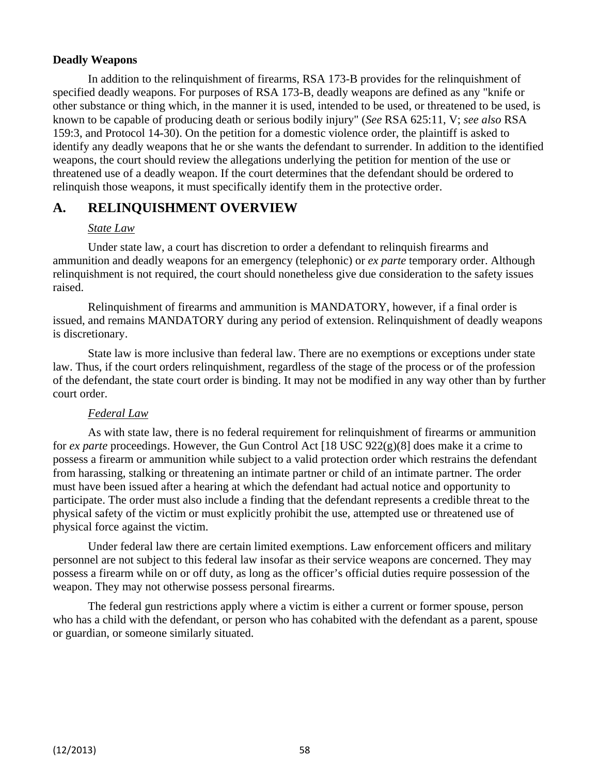#### **Deadly Weapons**

In addition to the relinquishment of firearms, RSA 173-B provides for the relinquishment of specified deadly weapons. For purposes of RSA 173-B, deadly weapons are defined as any "knife or other substance or thing which, in the manner it is used, intended to be used, or threatened to be used, is known to be capable of producing death or serious bodily injury" (*See* RSA 625:11, V; *see also* RSA 159:3, and Protocol 14-30). On the petition for a domestic violence order, the plaintiff is asked to identify any deadly weapons that he or she wants the defendant to surrender. In addition to the identified weapons, the court should review the allegations underlying the petition for mention of the use or threatened use of a deadly weapon. If the court determines that the defendant should be ordered to relinquish those weapons, it must specifically identify them in the protective order.

# **A. RELINQUISHMENT OVERVIEW**

#### *State Law*

Under state law, a court has discretion to order a defendant to relinquish firearms and ammunition and deadly weapons for an emergency (telephonic) or *ex parte* temporary order. Although relinquishment is not required, the court should nonetheless give due consideration to the safety issues raised.

Relinquishment of firearms and ammunition is MANDATORY, however, if a final order is issued, and remains MANDATORY during any period of extension. Relinquishment of deadly weapons is discretionary.

State law is more inclusive than federal law. There are no exemptions or exceptions under state law. Thus, if the court orders relinquishment, regardless of the stage of the process or of the profession of the defendant, the state court order is binding. It may not be modified in any way other than by further court order.

### *Federal Law*

As with state law, there is no federal requirement for relinquishment of firearms or ammunition for *ex parte* proceedings. However, the Gun Control Act [18 USC 922(g)(8] does make it a crime to possess a firearm or ammunition while subject to a valid protection order which restrains the defendant from harassing, stalking or threatening an intimate partner or child of an intimate partner. The order must have been issued after a hearing at which the defendant had actual notice and opportunity to participate. The order must also include a finding that the defendant represents a credible threat to the physical safety of the victim or must explicitly prohibit the use, attempted use or threatened use of physical force against the victim.

Under federal law there are certain limited exemptions. Law enforcement officers and military personnel are not subject to this federal law insofar as their service weapons are concerned. They may possess a firearm while on or off duty, as long as the officer's official duties require possession of the weapon. They may not otherwise possess personal firearms.

The federal gun restrictions apply where a victim is either a current or former spouse, person who has a child with the defendant, or person who has cohabited with the defendant as a parent, spouse or guardian, or someone similarly situated.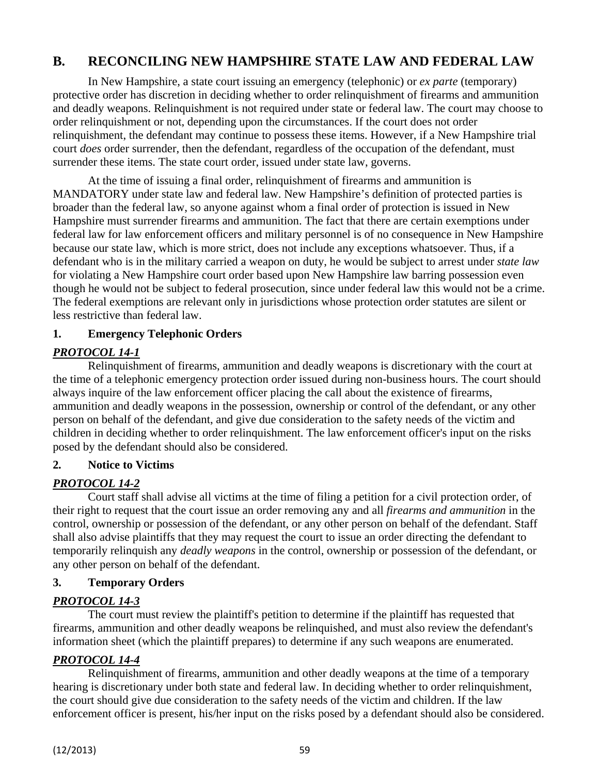# **B. RECONCILING NEW HAMPSHIRE STATE LAW AND FEDERAL LAW**

In New Hampshire, a state court issuing an emergency (telephonic) or *ex parte* (temporary) protective order has discretion in deciding whether to order relinquishment of firearms and ammunition and deadly weapons. Relinquishment is not required under state or federal law. The court may choose to order relinquishment or not, depending upon the circumstances. If the court does not order relinquishment, the defendant may continue to possess these items. However, if a New Hampshire trial court *does* order surrender, then the defendant, regardless of the occupation of the defendant, must surrender these items. The state court order, issued under state law, governs.

At the time of issuing a final order, relinquishment of firearms and ammunition is MANDATORY under state law and federal law. New Hampshire's definition of protected parties is broader than the federal law, so anyone against whom a final order of protection is issued in New Hampshire must surrender firearms and ammunition. The fact that there are certain exemptions under federal law for law enforcement officers and military personnel is of no consequence in New Hampshire because our state law, which is more strict, does not include any exceptions whatsoever. Thus, if a defendant who is in the military carried a weapon on duty, he would be subject to arrest under *state law*  for violating a New Hampshire court order based upon New Hampshire law barring possession even though he would not be subject to federal prosecution, since under federal law this would not be a crime. The federal exemptions are relevant only in jurisdictions whose protection order statutes are silent or less restrictive than federal law.

# **1. Emergency Telephonic Orders**

# *PROTOCOL 14-1*

Relinquishment of firearms, ammunition and deadly weapons is discretionary with the court at the time of a telephonic emergency protection order issued during non-business hours. The court should always inquire of the law enforcement officer placing the call about the existence of firearms, ammunition and deadly weapons in the possession, ownership or control of the defendant, or any other person on behalf of the defendant, and give due consideration to the safety needs of the victim and children in deciding whether to order relinquishment. The law enforcement officer's input on the risks posed by the defendant should also be considered.

### **2. Notice to Victims**

# *PROTOCOL 14-2*

Court staff shall advise all victims at the time of filing a petition for a civil protection order, of their right to request that the court issue an order removing any and all *firearms and ammunition* in the control, ownership or possession of the defendant, or any other person on behalf of the defendant. Staff shall also advise plaintiffs that they may request the court to issue an order directing the defendant to temporarily relinquish any *deadly weapons* in the control, ownership or possession of the defendant, or any other person on behalf of the defendant.

### **3. Temporary Orders**

# *PROTOCOL 14-3*

The court must review the plaintiff's petition to determine if the plaintiff has requested that firearms, ammunition and other deadly weapons be relinquished, and must also review the defendant's information sheet (which the plaintiff prepares) to determine if any such weapons are enumerated.

# *PROTOCOL 14-4*

Relinquishment of firearms, ammunition and other deadly weapons at the time of a temporary hearing is discretionary under both state and federal law. In deciding whether to order relinquishment, the court should give due consideration to the safety needs of the victim and children. If the law enforcement officer is present, his/her input on the risks posed by a defendant should also be considered.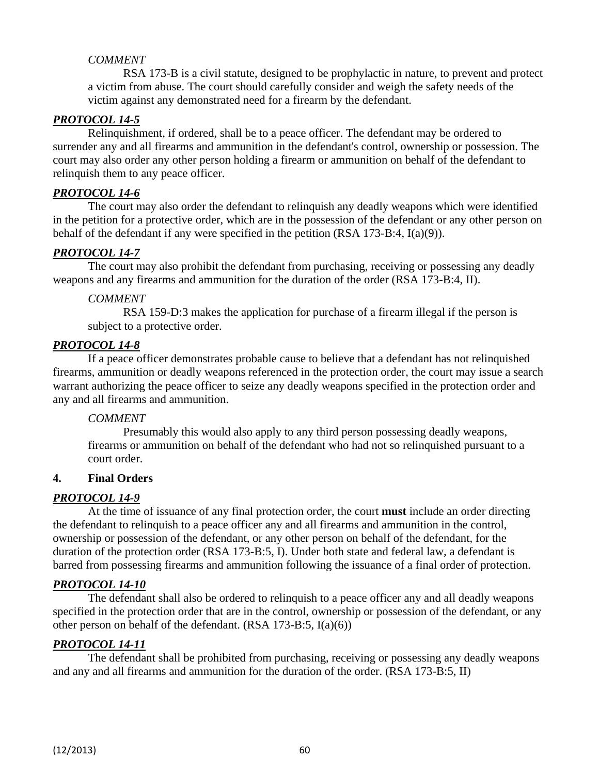## *COMMENT*

RSA 173-B is a civil statute, designed to be prophylactic in nature, to prevent and protect a victim from abuse. The court should carefully consider and weigh the safety needs of the victim against any demonstrated need for a firearm by the defendant.

### *PROTOCOL 14-5*

Relinquishment, if ordered, shall be to a peace officer. The defendant may be ordered to surrender any and all firearms and ammunition in the defendant's control, ownership or possession. The court may also order any other person holding a firearm or ammunition on behalf of the defendant to relinquish them to any peace officer.

## *PROTOCOL 14-6*

The court may also order the defendant to relinquish any deadly weapons which were identified in the petition for a protective order, which are in the possession of the defendant or any other person on behalf of the defendant if any were specified in the petition (RSA 173-B:4, I(a)(9)).

# *PROTOCOL 14-7*

The court may also prohibit the defendant from purchasing, receiving or possessing any deadly weapons and any firearms and ammunition for the duration of the order (RSA 173-B:4, II).

### *COMMENT*

RSA 159-D:3 makes the application for purchase of a firearm illegal if the person is subject to a protective order.

# *PROTOCOL 14-8*

If a peace officer demonstrates probable cause to believe that a defendant has not relinquished firearms, ammunition or deadly weapons referenced in the protection order, the court may issue a search warrant authorizing the peace officer to seize any deadly weapons specified in the protection order and any and all firearms and ammunition.

### *COMMENT*

Presumably this would also apply to any third person possessing deadly weapons, firearms or ammunition on behalf of the defendant who had not so relinquished pursuant to a court order.

### **4. Final Orders**

### *PROTOCOL 14-9*

At the time of issuance of any final protection order, the court **must** include an order directing the defendant to relinquish to a peace officer any and all firearms and ammunition in the control, ownership or possession of the defendant, or any other person on behalf of the defendant, for the duration of the protection order (RSA 173-B:5, I). Under both state and federal law, a defendant is barred from possessing firearms and ammunition following the issuance of a final order of protection.

### *PROTOCOL 14-10*

The defendant shall also be ordered to relinquish to a peace officer any and all deadly weapons specified in the protection order that are in the control, ownership or possession of the defendant, or any other person on behalf of the defendant. (RSA 173-B:5, I(a)(6))

### *PROTOCOL 14-11*

The defendant shall be prohibited from purchasing, receiving or possessing any deadly weapons and any and all firearms and ammunition for the duration of the order. (RSA 173-B:5, II)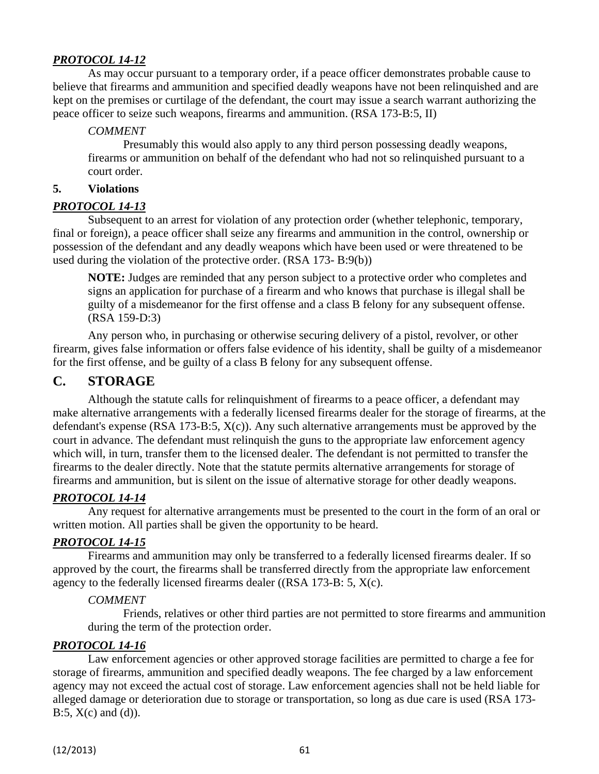As may occur pursuant to a temporary order, if a peace officer demonstrates probable cause to believe that firearms and ammunition and specified deadly weapons have not been relinquished and are kept on the premises or curtilage of the defendant, the court may issue a search warrant authorizing the peace officer to seize such weapons, firearms and ammunition. (RSA 173-B:5, II)

### *COMMENT*

Presumably this would also apply to any third person possessing deadly weapons, firearms or ammunition on behalf of the defendant who had not so relinquished pursuant to a court order.

#### **5. Violations**

#### *PROTOCOL 14-13*

Subsequent to an arrest for violation of any protection order (whether telephonic, temporary, final or foreign), a peace officer shall seize any firearms and ammunition in the control, ownership or possession of the defendant and any deadly weapons which have been used or were threatened to be used during the violation of the protective order. (RSA 173- B:9(b))

**NOTE:** Judges are reminded that any person subject to a protective order who completes and signs an application for purchase of a firearm and who knows that purchase is illegal shall be guilty of a misdemeanor for the first offense and a class B felony for any subsequent offense. (RSA 159-D:3)

Any person who, in purchasing or otherwise securing delivery of a pistol, revolver, or other firearm, gives false information or offers false evidence of his identity, shall be guilty of a misdemeanor for the first offense, and be guilty of a class B felony for any subsequent offense.

# **C. STORAGE**

Although the statute calls for relinquishment of firearms to a peace officer, a defendant may make alternative arrangements with a federally licensed firearms dealer for the storage of firearms, at the defendant's expense (RSA 173-B:5,  $X(c)$ ). Any such alternative arrangements must be approved by the court in advance. The defendant must relinquish the guns to the appropriate law enforcement agency which will, in turn, transfer them to the licensed dealer. The defendant is not permitted to transfer the firearms to the dealer directly. Note that the statute permits alternative arrangements for storage of firearms and ammunition, but is silent on the issue of alternative storage for other deadly weapons.

### *PROTOCOL 14-14*

Any request for alternative arrangements must be presented to the court in the form of an oral or written motion. All parties shall be given the opportunity to be heard.

### *PROTOCOL 14-15*

Firearms and ammunition may only be transferred to a federally licensed firearms dealer. If so approved by the court, the firearms shall be transferred directly from the appropriate law enforcement agency to the federally licensed firearms dealer ((RSA 173-B: 5, X(c).

#### *COMMENT*

Friends, relatives or other third parties are not permitted to store firearms and ammunition during the term of the protection order.

### *PROTOCOL 14-16*

Law enforcement agencies or other approved storage facilities are permitted to charge a fee for storage of firearms, ammunition and specified deadly weapons. The fee charged by a law enforcement agency may not exceed the actual cost of storage. Law enforcement agencies shall not be held liable for alleged damage or deterioration due to storage or transportation, so long as due care is used (RSA 173- B:5,  $X(c)$  and  $(d)$ ).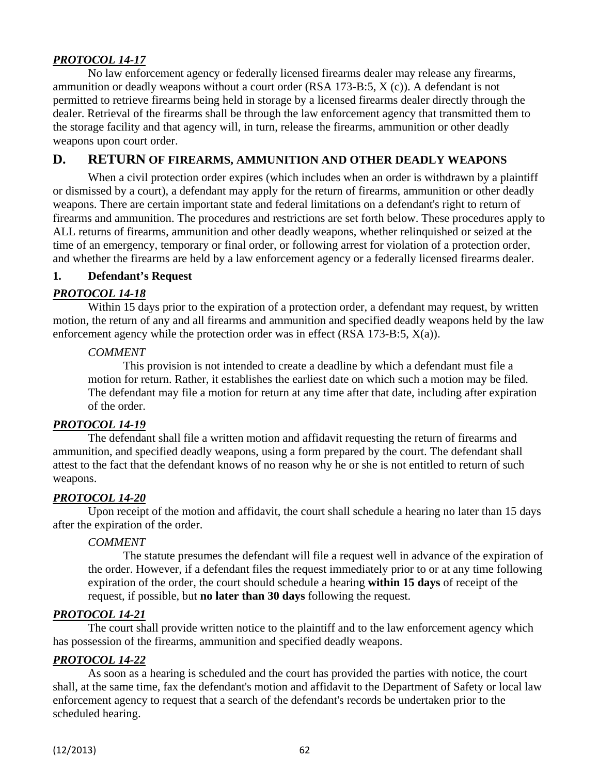No law enforcement agency or federally licensed firearms dealer may release any firearms, ammunition or deadly weapons without a court order (RSA 173-B:5, X (c)). A defendant is not permitted to retrieve firearms being held in storage by a licensed firearms dealer directly through the dealer. Retrieval of the firearms shall be through the law enforcement agency that transmitted them to the storage facility and that agency will, in turn, release the firearms, ammunition or other deadly weapons upon court order.

# **D. RETURN OF FIREARMS, AMMUNITION AND OTHER DEADLY WEAPONS**

When a civil protection order expires (which includes when an order is withdrawn by a plaintiff or dismissed by a court), a defendant may apply for the return of firearms, ammunition or other deadly weapons. There are certain important state and federal limitations on a defendant's right to return of firearms and ammunition. The procedures and restrictions are set forth below. These procedures apply to ALL returns of firearms, ammunition and other deadly weapons, whether relinquished or seized at the time of an emergency, temporary or final order, or following arrest for violation of a protection order, and whether the firearms are held by a law enforcement agency or a federally licensed firearms dealer.

#### **1. Defendant's Request**

### *PROTOCOL 14-18*

Within 15 days prior to the expiration of a protection order, a defendant may request, by written motion, the return of any and all firearms and ammunition and specified deadly weapons held by the law enforcement agency while the protection order was in effect (RSA 173-B:5,  $X(a)$ ).

#### *COMMENT*

This provision is not intended to create a deadline by which a defendant must file a motion for return. Rather, it establishes the earliest date on which such a motion may be filed. The defendant may file a motion for return at any time after that date, including after expiration of the order.

### *PROTOCOL 14-19*

The defendant shall file a written motion and affidavit requesting the return of firearms and ammunition, and specified deadly weapons, using a form prepared by the court. The defendant shall attest to the fact that the defendant knows of no reason why he or she is not entitled to return of such weapons.

### *PROTOCOL 14-20*

Upon receipt of the motion and affidavit, the court shall schedule a hearing no later than 15 days after the expiration of the order.

### *COMMENT*

The statute presumes the defendant will file a request well in advance of the expiration of the order. However, if a defendant files the request immediately prior to or at any time following expiration of the order, the court should schedule a hearing **within 15 days** of receipt of the request, if possible, but **no later than 30 days** following the request.

### *PROTOCOL 14-21*

The court shall provide written notice to the plaintiff and to the law enforcement agency which has possession of the firearms, ammunition and specified deadly weapons.

### *PROTOCOL 14-22*

As soon as a hearing is scheduled and the court has provided the parties with notice, the court shall, at the same time, fax the defendant's motion and affidavit to the Department of Safety or local law enforcement agency to request that a search of the defendant's records be undertaken prior to the scheduled hearing.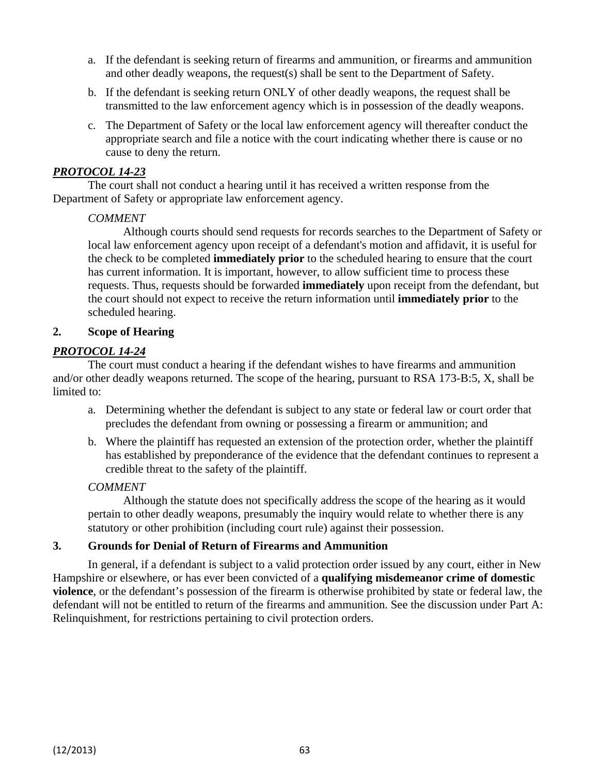- a. If the defendant is seeking return of firearms and ammunition, or firearms and ammunition and other deadly weapons, the request(s) shall be sent to the Department of Safety.
- b. If the defendant is seeking return ONLY of other deadly weapons, the request shall be transmitted to the law enforcement agency which is in possession of the deadly weapons.
- c. The Department of Safety or the local law enforcement agency will thereafter conduct the appropriate search and file a notice with the court indicating whether there is cause or no cause to deny the return.

The court shall not conduct a hearing until it has received a written response from the Department of Safety or appropriate law enforcement agency.

#### *COMMENT*

Although courts should send requests for records searches to the Department of Safety or local law enforcement agency upon receipt of a defendant's motion and affidavit, it is useful for the check to be completed **immediately prior** to the scheduled hearing to ensure that the court has current information. It is important, however, to allow sufficient time to process these requests. Thus, requests should be forwarded **immediately** upon receipt from the defendant, but the court should not expect to receive the return information until **immediately prior** to the scheduled hearing.

#### **2. Scope of Hearing**

#### *PROTOCOL 14-24*

The court must conduct a hearing if the defendant wishes to have firearms and ammunition and/or other deadly weapons returned. The scope of the hearing, pursuant to RSA 173-B:5, X, shall be limited to:

- a. Determining whether the defendant is subject to any state or federal law or court order that precludes the defendant from owning or possessing a firearm or ammunition; and
- b. Where the plaintiff has requested an extension of the protection order, whether the plaintiff has established by preponderance of the evidence that the defendant continues to represent a credible threat to the safety of the plaintiff.

#### *COMMENT*

Although the statute does not specifically address the scope of the hearing as it would pertain to other deadly weapons, presumably the inquiry would relate to whether there is any statutory or other prohibition (including court rule) against their possession.

#### **3. Grounds for Denial of Return of Firearms and Ammunition**

In general, if a defendant is subject to a valid protection order issued by any court, either in New Hampshire or elsewhere, or has ever been convicted of a **qualifying misdemeanor crime of domestic violence**, or the defendant's possession of the firearm is otherwise prohibited by state or federal law, the defendant will not be entitled to return of the firearms and ammunition. See the discussion under Part A: Relinquishment, for restrictions pertaining to civil protection orders.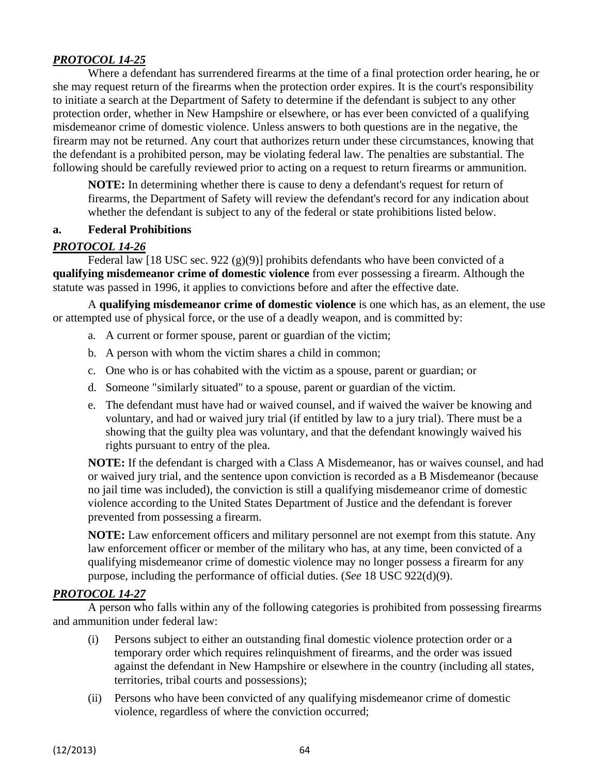Where a defendant has surrendered firearms at the time of a final protection order hearing, he or she may request return of the firearms when the protection order expires. It is the court's responsibility to initiate a search at the Department of Safety to determine if the defendant is subject to any other protection order, whether in New Hampshire or elsewhere, or has ever been convicted of a qualifying misdemeanor crime of domestic violence. Unless answers to both questions are in the negative, the firearm may not be returned. Any court that authorizes return under these circumstances, knowing that the defendant is a prohibited person, may be violating federal law. The penalties are substantial. The following should be carefully reviewed prior to acting on a request to return firearms or ammunition.

**NOTE:** In determining whether there is cause to deny a defendant's request for return of firearms, the Department of Safety will review the defendant's record for any indication about whether the defendant is subject to any of the federal or state prohibitions listed below.

#### **a. Federal Prohibitions**

### *PROTOCOL 14-26*

Federal law [18 USC sec. 922  $(g)(9)$ ] prohibits defendants who have been convicted of a **qualifying misdemeanor crime of domestic violence** from ever possessing a firearm. Although the statute was passed in 1996, it applies to convictions before and after the effective date.

A **qualifying misdemeanor crime of domestic violence** is one which has, as an element, the use or attempted use of physical force, or the use of a deadly weapon, and is committed by:

- a. A current or former spouse, parent or guardian of the victim;
- b. A person with whom the victim shares a child in common;
- c. One who is or has cohabited with the victim as a spouse, parent or guardian; or
- d. Someone "similarly situated" to a spouse, parent or guardian of the victim.
- e. The defendant must have had or waived counsel, and if waived the waiver be knowing and voluntary, and had or waived jury trial (if entitled by law to a jury trial). There must be a showing that the guilty plea was voluntary, and that the defendant knowingly waived his rights pursuant to entry of the plea.

**NOTE:** If the defendant is charged with a Class A Misdemeanor, has or waives counsel, and had or waived jury trial, and the sentence upon conviction is recorded as a B Misdemeanor (because no jail time was included), the conviction is still a qualifying misdemeanor crime of domestic violence according to the United States Department of Justice and the defendant is forever prevented from possessing a firearm.

**NOTE:** Law enforcement officers and military personnel are not exempt from this statute. Any law enforcement officer or member of the military who has, at any time, been convicted of a qualifying misdemeanor crime of domestic violence may no longer possess a firearm for any purpose, including the performance of official duties. (*See* 18 USC 922(d)(9).

### *PROTOCOL 14-27*

A person who falls within any of the following categories is prohibited from possessing firearms and ammunition under federal law:

- (i) Persons subject to either an outstanding final domestic violence protection order or a temporary order which requires relinquishment of firearms, and the order was issued against the defendant in New Hampshire or elsewhere in the country (including all states, territories, tribal courts and possessions);
- (ii) Persons who have been convicted of any qualifying misdemeanor crime of domestic violence, regardless of where the conviction occurred;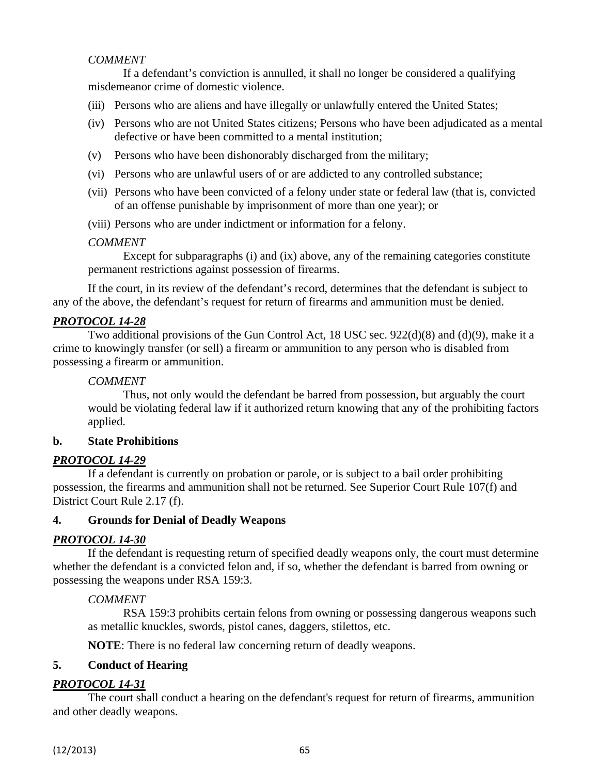# *COMMENT*

If a defendant's conviction is annulled, it shall no longer be considered a qualifying misdemeanor crime of domestic violence.

- (iii) Persons who are aliens and have illegally or unlawfully entered the United States;
- (iv) Persons who are not United States citizens; Persons who have been adjudicated as a mental defective or have been committed to a mental institution;
- (v) Persons who have been dishonorably discharged from the military;
- (vi) Persons who are unlawful users of or are addicted to any controlled substance;
- (vii) Persons who have been convicted of a felony under state or federal law (that is, convicted of an offense punishable by imprisonment of more than one year); or
- (viii) Persons who are under indictment or information for a felony.

### *COMMENT*

Except for subparagraphs (i) and (ix) above, any of the remaining categories constitute permanent restrictions against possession of firearms.

If the court, in its review of the defendant's record, determines that the defendant is subject to any of the above, the defendant's request for return of firearms and ammunition must be denied.

### *PROTOCOL 14-28*

Two additional provisions of the Gun Control Act, 18 USC sec. 922(d)(8) and (d)(9), make it a crime to knowingly transfer (or sell) a firearm or ammunition to any person who is disabled from possessing a firearm or ammunition.

#### *COMMENT*

Thus, not only would the defendant be barred from possession, but arguably the court would be violating federal law if it authorized return knowing that any of the prohibiting factors applied.

### **b. State Prohibitions**

### *PROTOCOL 14-29*

If a defendant is currently on probation or parole, or is subject to a bail order prohibiting possession, the firearms and ammunition shall not be returned. See Superior Court Rule 107(f) and District Court Rule 2.17 (f).

### **4. Grounds for Denial of Deadly Weapons**

### *PROTOCOL 14-30*

If the defendant is requesting return of specified deadly weapons only, the court must determine whether the defendant is a convicted felon and, if so, whether the defendant is barred from owning or possessing the weapons under RSA 159:3.

### *COMMENT*

RSA 159:3 prohibits certain felons from owning or possessing dangerous weapons such as metallic knuckles, swords, pistol canes, daggers, stilettos, etc.

**NOTE**: There is no federal law concerning return of deadly weapons.

### **5. Conduct of Hearing**

### *PROTOCOL 14-31*

The court shall conduct a hearing on the defendant's request for return of firearms, ammunition and other deadly weapons.